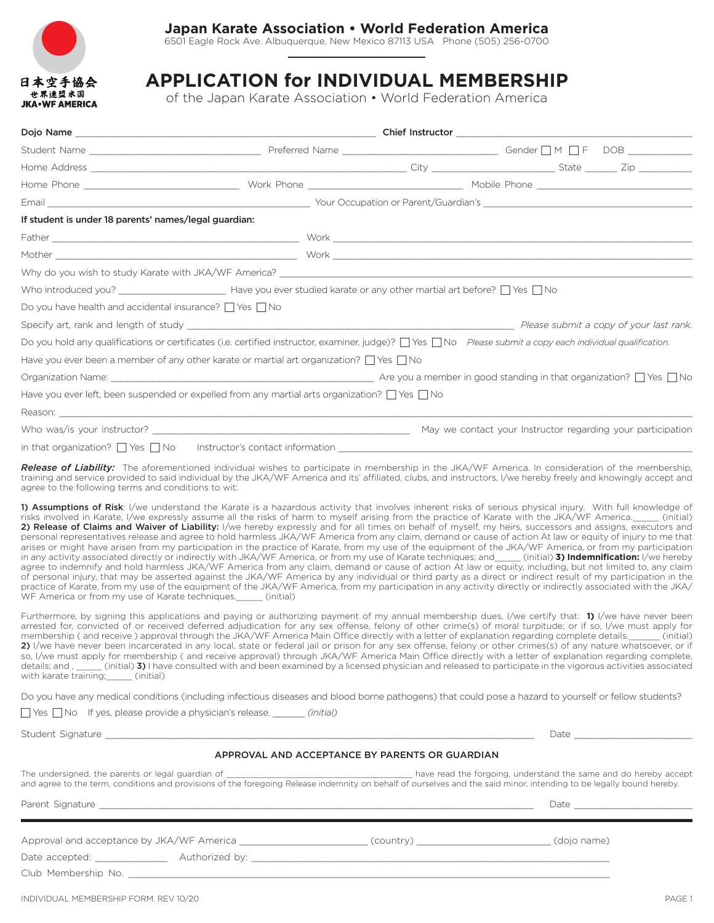

## **Japan Karate Association • World Federation America**

6501 Eagle Rock Ave. Albuquerque, New Mexico 87113 USA Phone (505) 256-0700

## **APPLICATION for INDIVIDUAL MEMBERSHIP**

of the Japan Karate Association • World Federation America

| Email <b>Exercise Email</b>                                                | Mourney and Mourney and Mourney of Mourney and Mourney and Mourney and Mourney and Mourney and Mourney and Mour                                                                                                                                                                                                                                                                                                                                                                                                                                                                                                                                                                                                                                                                                                                                                                                                                                                                                                                                                                                                                                                                                                                                                                                                                                                                                                                                                           |  |  |
|----------------------------------------------------------------------------|---------------------------------------------------------------------------------------------------------------------------------------------------------------------------------------------------------------------------------------------------------------------------------------------------------------------------------------------------------------------------------------------------------------------------------------------------------------------------------------------------------------------------------------------------------------------------------------------------------------------------------------------------------------------------------------------------------------------------------------------------------------------------------------------------------------------------------------------------------------------------------------------------------------------------------------------------------------------------------------------------------------------------------------------------------------------------------------------------------------------------------------------------------------------------------------------------------------------------------------------------------------------------------------------------------------------------------------------------------------------------------------------------------------------------------------------------------------------------|--|--|
| If student is under 18 parents' names/legal guardian:                      |                                                                                                                                                                                                                                                                                                                                                                                                                                                                                                                                                                                                                                                                                                                                                                                                                                                                                                                                                                                                                                                                                                                                                                                                                                                                                                                                                                                                                                                                           |  |  |
|                                                                            |                                                                                                                                                                                                                                                                                                                                                                                                                                                                                                                                                                                                                                                                                                                                                                                                                                                                                                                                                                                                                                                                                                                                                                                                                                                                                                                                                                                                                                                                           |  |  |
|                                                                            |                                                                                                                                                                                                                                                                                                                                                                                                                                                                                                                                                                                                                                                                                                                                                                                                                                                                                                                                                                                                                                                                                                                                                                                                                                                                                                                                                                                                                                                                           |  |  |
|                                                                            | Why do you wish to study Karate with JKA/WF America? Cambridge Control and the control of the control of the control of the control of the control of the control of the control of the control of the control of the control                                                                                                                                                                                                                                                                                                                                                                                                                                                                                                                                                                                                                                                                                                                                                                                                                                                                                                                                                                                                                                                                                                                                                                                                                                             |  |  |
|                                                                            | Who introduced you?<br>$\Box$ Have you ever studied karate or any other martial art before? $\Box$ Yes $\Box$ No                                                                                                                                                                                                                                                                                                                                                                                                                                                                                                                                                                                                                                                                                                                                                                                                                                                                                                                                                                                                                                                                                                                                                                                                                                                                                                                                                          |  |  |
| Do you have health and accidental insurance? $\Box$ Yes $\Box$ No          |                                                                                                                                                                                                                                                                                                                                                                                                                                                                                                                                                                                                                                                                                                                                                                                                                                                                                                                                                                                                                                                                                                                                                                                                                                                                                                                                                                                                                                                                           |  |  |
|                                                                            |                                                                                                                                                                                                                                                                                                                                                                                                                                                                                                                                                                                                                                                                                                                                                                                                                                                                                                                                                                                                                                                                                                                                                                                                                                                                                                                                                                                                                                                                           |  |  |
|                                                                            | Do you hold any qualifications or certificates (i.e. certified instructor, examiner, judge)?  Yes  No Please submit a copy each individual qualification.                                                                                                                                                                                                                                                                                                                                                                                                                                                                                                                                                                                                                                                                                                                                                                                                                                                                                                                                                                                                                                                                                                                                                                                                                                                                                                                 |  |  |
|                                                                            | Have you ever been a member of any other karate or martial art organization? $\Box$ Yes $\Box$ No                                                                                                                                                                                                                                                                                                                                                                                                                                                                                                                                                                                                                                                                                                                                                                                                                                                                                                                                                                                                                                                                                                                                                                                                                                                                                                                                                                         |  |  |
|                                                                            |                                                                                                                                                                                                                                                                                                                                                                                                                                                                                                                                                                                                                                                                                                                                                                                                                                                                                                                                                                                                                                                                                                                                                                                                                                                                                                                                                                                                                                                                           |  |  |
|                                                                            | Have you ever left, been suspended or expelled from any martial arts organization? $\Box$ Yes $\Box$ No                                                                                                                                                                                                                                                                                                                                                                                                                                                                                                                                                                                                                                                                                                                                                                                                                                                                                                                                                                                                                                                                                                                                                                                                                                                                                                                                                                   |  |  |
|                                                                            |                                                                                                                                                                                                                                                                                                                                                                                                                                                                                                                                                                                                                                                                                                                                                                                                                                                                                                                                                                                                                                                                                                                                                                                                                                                                                                                                                                                                                                                                           |  |  |
|                                                                            |                                                                                                                                                                                                                                                                                                                                                                                                                                                                                                                                                                                                                                                                                                                                                                                                                                                                                                                                                                                                                                                                                                                                                                                                                                                                                                                                                                                                                                                                           |  |  |
|                                                                            |                                                                                                                                                                                                                                                                                                                                                                                                                                                                                                                                                                                                                                                                                                                                                                                                                                                                                                                                                                                                                                                                                                                                                                                                                                                                                                                                                                                                                                                                           |  |  |
| agree to the following terms and conditions to wit:                        | Release of Liability: The aforementioned individual wishes to participate in membership in the JKA/WF America. In consideration of the membership,<br>training and service provided to said individual by the JKA/WF America and its' affiliated, clubs, and instructors, I/we hereby freely and knowingly accept and                                                                                                                                                                                                                                                                                                                                                                                                                                                                                                                                                                                                                                                                                                                                                                                                                                                                                                                                                                                                                                                                                                                                                     |  |  |
| WF America or from my use of Karate techniques. (initial)                  | 1) Assumptions of Risk: I/we understand the Karate is a hazardous activity that involves inherent risks of serious physical injury. With full knowledge of<br>risks involved in Karate, I/we expressly assume all the risks of harm to myself arising from the practice of Karate with the JKA/WF America. [initial]<br>2) Release of Claims and Waiver of Liability: I/we hereby expressly and for all times on behalf of myself, my heirs, successors and assigns, executors and<br>personal representatives release and agree to hold harmless JKA/WF America from any claim, demand or cause of action At law or equity of injury to me that<br>arises or might have arisen from my participation in the practice of Karate, from my use of the equipment of the JKA/WF America, or from my participation<br>in any activity associated directly or indirectly with JKA/WF America, or from my use of Karate techniques; and (initial) 3) Indemnification: I/we hereby<br>agree to indemnify and hold harmless JKA/WF America from any claim, demand or cause of action At law or equity, including, but not limited to, any claim<br>of personal injury, that may be asserted against the JKA/WF America by any individual or third party as a direct or indirect result of my participation in the<br>practice of Karate, from my use of the equipment of the JKA/WF America, from my participation in any activity directly or indirectly associated with the JKA/ |  |  |
| with karate training; ______ (initial)                                     | Furthermore, by signing this applications and paying or authorizing payment of my annual membership dues, I/we certify that: 1) I/we have never been<br>arrested for, convicted of or received deferred adjudication for any sex offense, felony of other crime(s) of moral turpitude; or if so, I/we must apply for<br>membership (and receive) approval through the JKA/WF America Main Office directly with a letter of explanation regarding complete details. (initial)<br>2) I/we have never been incarcerated in any local, state or federal jail or prison for any sex offense, felony or other crimes(s) of any nature whatsoever, or if<br>so, I/we must apply for membership (and receive approval) through JKA/WF America Main Office directly with a letter of explanation regarding complete,<br>details; and, ______(initial) 3) I have consulted with and been examined by a licensed physician and released to participate in the vigorous activities associated                                                                                                                                                                                                                                                                                                                                                                                                                                                                                         |  |  |
|                                                                            | Do you have any medical conditions (including infectious diseases and blood borne pathogens) that could pose a hazard to yourself or fellow students?                                                                                                                                                                                                                                                                                                                                                                                                                                                                                                                                                                                                                                                                                                                                                                                                                                                                                                                                                                                                                                                                                                                                                                                                                                                                                                                     |  |  |
| □ Yes □ No If yes, please provide a physician's release. _______ (initial) |                                                                                                                                                                                                                                                                                                                                                                                                                                                                                                                                                                                                                                                                                                                                                                                                                                                                                                                                                                                                                                                                                                                                                                                                                                                                                                                                                                                                                                                                           |  |  |

Student Signature \_\_\_\_\_\_\_\_\_\_\_\_\_\_\_\_\_\_\_\_\_\_\_\_\_\_\_\_\_\_\_\_\_\_\_\_\_\_\_\_\_\_\_\_\_\_\_\_\_\_\_\_\_\_\_\_\_\_\_\_\_\_\_\_\_\_\_\_\_\_\_\_\_\_\_\_\_\_\_\_ Date \_\_\_\_\_\_\_\_\_\_\_\_\_\_\_\_\_\_\_\_\_\_

#### APPROVAL AND ACCEPTANCE BY PARENTS OR GUARDIAN

The undersigned, the parents or legal guardian of \_\_\_\_\_\_\_\_\_\_\_\_\_\_\_\_\_\_\_\_\_\_\_\_\_\_\_\_\_\_\_\_\_\_\_\_\_\_ have read the forgoing, understand the same and do hereby accept and agree to the term, conditions and provisions of the foregoing Release indemnity on behalf of ourselves and the said minor, intending to be legally bound hereby.

Parent Signature \_\_\_\_\_\_\_\_\_\_\_\_\_\_\_\_\_\_\_\_\_\_\_\_\_\_\_\_\_\_\_\_\_\_\_\_\_\_\_\_\_\_\_\_\_\_\_\_\_\_\_\_\_\_\_\_\_\_\_\_\_\_\_\_\_\_\_\_\_\_\_\_\_\_\_\_\_\_\_\_\_ Date \_\_\_\_\_\_\_\_\_\_\_\_\_\_\_\_\_\_\_\_\_\_

Approval and acceptance by JKA/WF America \_\_\_\_\_\_\_\_\_\_\_\_\_\_\_\_\_\_\_\_\_\_\_\_\_(country) \_\_\_\_\_\_\_\_\_\_\_\_\_\_\_\_\_\_\_\_\_\_\_\_\_\_(dojo name)

Date accepted: \_\_\_\_\_\_\_\_\_\_\_\_\_ Authorized by: \_\_\_\_\_\_\_\_\_\_\_\_\_\_\_\_\_\_\_\_\_\_\_\_\_\_\_\_\_\_\_\_\_\_\_\_\_\_\_\_\_\_\_\_\_\_\_\_\_\_\_\_\_\_\_\_\_\_\_\_\_\_\_\_

Club Membership No.